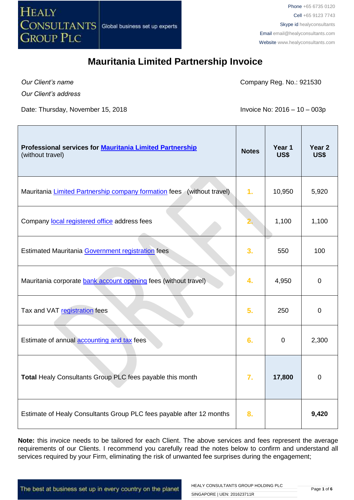

*Our Client's name*

Г

Company Reg. No.: 921530

*Our Client's address*

Date: Thursday, November 15, 2018 **Invoice No: 2016 – 10 – 003p** 

T

 $\overline{\phantom{0}}$ 

| Professional services for <b>Mauritania Limited Partnership</b><br>(without travel) | <b>Notes</b> | Year 1<br><b>US\$</b> | Year <sub>2</sub><br>US\$ |
|-------------------------------------------------------------------------------------|--------------|-----------------------|---------------------------|
| Mauritania Limited Partnership company formation fees (without travel)              | 1.           | 10,950                | 5,920                     |
| Company local registered office address fees                                        |              | 1,100                 | 1,100                     |
| Estimated Mauritania Government registration fees                                   | 3.           | 550                   | 100                       |
| Mauritania corporate bank account opening fees (without travel)                     | 4.           | 4,950                 | $\mathbf 0$               |
| Tax and VAT registration fees                                                       | 5.           | 250                   | $\mathbf 0$               |
| Estimate of annual accounting and tax fees                                          | 6.           | $\mathbf 0$           | 2,300                     |
| Total Healy Consultants Group PLC fees payable this month                           | 7.           | 17,800                | $\boldsymbol{0}$          |
| Estimate of Healy Consultants Group PLC fees payable after 12 months                | 8.           |                       | 9,420                     |

**Note:** this invoice needs to be tailored for each Client. The above services and fees represent the average requirements of our Clients. I recommend you carefully read the notes below to confirm and understand all services required by your Firm, eliminating the risk of unwanted fee surprises during the engagement;

The best at business set up in every country on the planet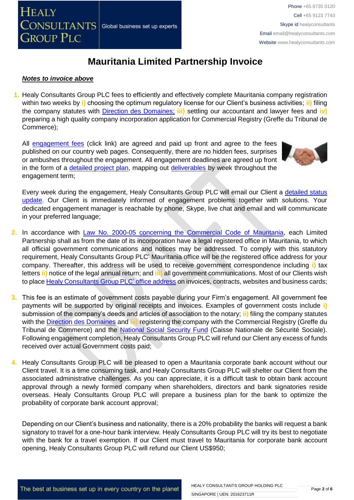#### *Notes to invoice above*

**1.** Healy Consultants Group PLC fees to efficiently and effectively complete Mauritania company registration within two weeks by **i)** choosing the optimum regulatory license for our Client's business activities; **ii)** filing the company statutes with [Direction des Domaines;](http://www.finances.gov.mr/) **iii)** settling our accountant and lawyer fees and **iv)** preparing a high quality company incorporation application for Commercial Registry (Greffe du Tribunal de Commerce);

All [engagement fees](http://www.healyconsultants.com/company-registration-fees/) (click link) are agreed and paid up front and agree to the fees published on our country web pages. Consequently, there are no hidden fees, surprises or ambushes throughout the engagement. All engagement deadlines are agreed up front in the form of a [detailed project plan,](http://www.healyconsultants.com/index-important-links/example-project-plan/) mapping out [deliverables](http://www.healyconsultants.com/deliverables-to-our-clients/) by week throughout the engagement term;



Every week during the engagement, Healy Consultants Group PLC will email our Client a [detailed status](http://www.healyconsultants.com/index-important-links/weekly-engagement-status-email/)  [update.](http://www.healyconsultants.com/index-important-links/weekly-engagement-status-email/) Our Client is immediately informed of engagement problems together with solutions. Your dedicated engagement manager is reachable by phone, Skype, live chat and email and will communicate in your preferred language;

- **2.** In accordance with [Law No. 2000-05 concerning the Commercial Code](http://www.wipo.int/wipolex/fr/text.jsp?file_id=236577#LinkTarget_7738) of Mauritania, each Limited Partnership shall as from the date of its incorporation have a legal registered office in Mauritania, to which all official government communications and notices may be addressed. To comply with this statutory requirement, Healy Consultants Group PLC' Mauritania office will be the registered office address for your company. Thereafter, this address will be used to receive government correspondence including **i)** tax letters **ii)** notice of the legal annual return; and **iii)** all government communications. Most of our Clients wish to plac[e Healy Consultants Group PLC'](http://www.healyconsultants.com/corporate-outsourcing-services/company-secretary-and-legal-registered-office/) office address on invoices, contracts, websites and business cards;
- **3.** This fee is an estimate of government costs payable during your Firm's engagement. All government fee payments will be supported by original receipts and invoices. Examples of government costs include **i)** submission of the company's deeds and articles of association to the notary; **ii)** filing the company statutes with the [Direction des Domaines](http://www.finances.gov.mr/) and **iii)** registering the company with the Commercial Registry (Greffe du Tribunal de Commerce) and the [National Social Security Fund](http://www.cnss.mr/) (Caisse Nationale de Sécurité Sociale). Following engagement completion, Healy Consultants Group PLC will refund our Client any excess of funds received over actual Government costs paid;
- **4.** Healy Consultants Group PLC will be pleased to open a Mauritania corporate bank account without our Client travel. It is a time consuming task, and Healy Consultants Group PLC will shelter our Client from the associated administrative challenges. As you can appreciate, it is a difficult task to obtain bank account approval through a newly formed company when shareholders, directors and bank signatories reside overseas. Healy Consultants Group PLC will prepare a business plan for the bank to optimize the probability of corporate bank account approval;

Depending on our Client's business and nationality, there is a 20% probability the banks will request a bank signatory to travel for a one-hour bank interview. Healy Consultants Group PLC will try its best to negotiate with the bank for a travel exemption. If our Client must travel to Mauritania for corporate bank account opening, Healy Consultants Group PLC will refund our Client US\$950;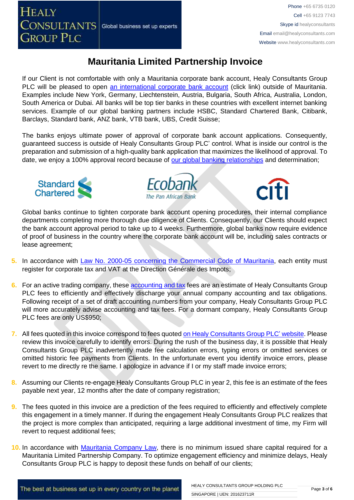If our Client is not comfortable with only a Mauritania corporate bank account, Healy Consultants Group PLC will be pleased to open [an international corporate bank account](http://www.healyconsultants.com/international-banking/) (click link) outside of Mauritania. Examples include New York, Germany, Liechtenstein, Austria, Bulgaria, South Africa, Australia, London, South America or Dubai. All banks will be top tier banks in these countries with excellent internet banking services. Example of our global banking partners include HSBC, Standard Chartered Bank, Citibank, Barclays, Standard bank, ANZ bank, VTB bank, UBS, Credit Suisse;

The banks enjoys ultimate power of approval of corporate bank account applications. Consequently, guaranteed success is outside of Healy Consultants Group PLC' control. What is inside our control is the preparation and submission of a high-quality bank application that maximizes the likelihood of approval. To date, we enjoy a 100% approval record because of [our global banking relationships](http://www.healyconsultants.com/international-banking/corporate-accounts/) and determination;







Global banks continue to tighten corporate bank account opening procedures, their internal compliance departments completing more thorough due diligence of Clients. Consequently, our Clients should expect the bank account approval period to take up to 4 weeks. Furthermore, global banks now require evidence of proof of business in the country where the corporate bank account will be, including sales contracts or lease agreement;

- **5.** In accordance with [Law No. 2000-05 concerning the Commercial Code](http://www.wipo.int/wipolex/fr/text.jsp?file_id=236577#LinkTarget_7738) of Mauritania, each entity must register for corporate tax and VAT at the Direction Générale des Impots;
- **6.** For an active trading company, thes[e accounting and tax](http://www.healyconsultants.com/mauritania-company-registration/accounting-legal/) fees are an estimate of Healy Consultants Group PLC fees to efficiently and effectively discharge your annual company accounting and tax obligations. Following receipt of a set of draft accounting numbers from your company, Healy Consultants Group PLC will more accurately advise accounting and tax fees. For a dormant company, Healy Consultants Group PLC fees are only US\$950;
- **7.** All fees quoted in this invoice correspond to fees quoted [on Healy Consultants Group PLC' website.](http://www.healyconsultants.com/company-registration-fees/) Please review this invoice carefully to identify errors. During the rush of the business day, it is possible that Healy Consultants Group PLC inadvertently made fee calculation errors, typing errors or omitted services or omitted historic fee payments from Clients. In the unfortunate event you identify invoice errors, please revert to me directly re the same. I apologize in advance if I or my staff made invoice errors;
- **8.** Assuming our Clients re-engage Healy Consultants Group PLC in year 2, this fee is an estimate of the fees payable next year, 12 months after the date of company registration;
- **9.** The fees quoted in this invoice are a prediction of the fees required to efficiently and effectively complete this engagement in a timely manner. If during the engagement Healy Consultants Group PLC realizes that the project is more complex than anticipated, requiring a large additional investment of time, my Firm will revert to request additional fees;
- **10.** In accordance with [Mauritania](http://www.wipo.int/wipolex/fr/text.jsp?file_id=236577#LinkTarget_7738) Company Law, there is no minimum issued share capital required for a Mauritania Limited Partnership Company. To optimize engagement efficiency and minimize delays, Healy Consultants Group PLC is happy to deposit these funds on behalf of our clients;

The best at business set up in every country on the planet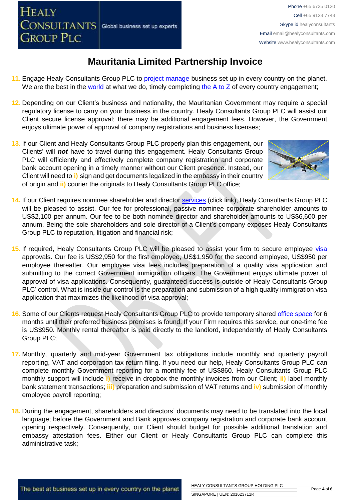- 11. Engage Healy Consultants Group PLC to [project manage](http://www.healyconsultants.com/project-manage-engagements/) business set up in every country on the planet. We are the best in the [world](http://www.healyconsultants.com/best-in-the-world/) at what we do, timely completing the  $A$  to  $Z$  of every country engagement;
- **12.** Depending on our Client's business and nationality, the Mauritanian Government may require a special regulatory license to carry on your business in the country. Healy Consultants Group PLC will assist our Client secure license approval; there may be additional engagement fees. However, the Government enjoys ultimate power of approval of company registrations and business licenses;
- **13.** If our Client and Healy Consultants Group PLC properly plan this engagement, our Clients' will *not* have to travel during this engagement. Healy Consultants Group PLC will efficiently and effectively complete company registration and corporate bank account opening in a timely manner without our Client presence. Instead, our Client will need to **i)** sign and get documents legalized in the embassy in their country of origin and **ii)** courier the originals to Healy Consultants Group PLC office;



- **14.** If our Client requires nominee shareholder and director services [\(click link\),](http://www.healyconsultants.com/corporate-outsourcing-services/nominee-shareholders-directors/) Healy Consultants Group PLC will be pleased to assist. Our fee for professional, passive nominee corporate shareholder amounts to US\$2,100 per annum. Our fee to be both nominee director and shareholder amounts to US\$6,600 per annum. Being the sole shareholders and sole director of a Client's company exposes Healy Consultants Group PLC to reputation, litigation and financial risk;
- 15. If required, Healy Consultants Group PLC will be pleased to assist your firm to secure employee [visa](http://www.healyconsultants.com/corporate-advisory-services/) approvals. Our fee is US\$2,950 for the first employee, US\$1,950 for the second employee, US\$950 per employee thereafter. Our employee visa fees includes preparation of a quality visa application and submitting to the correct Government immigration officers. The Government enjoys ultimate power of approval of visa applications. Consequently, guaranteed success is outside of Healy Consultants Group PLC' control. What is inside our control is the preparation and submission of a high quality immigration visa application that maximizes the likelihood of visa approval;
- **16.** Some of our Clients request Healy Consultants Group PLC to provide temporary shared [office space](http://www.healyconsultants.com/virtual-office/) for 6 months until their preferred business premises is found. If your Firm requires this service, our one-time fee is US\$950. Monthly rental thereafter is paid directly to the landlord, independently of Healy Consultants Group PLC;
- **17.** Monthly, quarterly and mid-year Government tax obligations include monthly and quarterly payroll reporting, VAT and corporation tax return filing. If you need our help, Healy Consultants Group PLC can complete monthly Government reporting for a monthly fee of US\$860. Healy Consultants Group PLC monthly support will include **i)** receive in dropbox the monthly invoices from our Client; **ii)** label monthly bank statement transactions; **iii)** preparation and submission of VAT returns and **iv)** submission of monthly employee payroll reporting;
- **18.** During the engagement, shareholders and directors' documents may need to be translated into the local language; before the Government and Bank approves company registration and corporate bank account opening respectively. Consequently, our Client should budget for possible additional translation and embassy attestation fees. Either our Client or Healy Consultants Group PLC can complete this administrative task;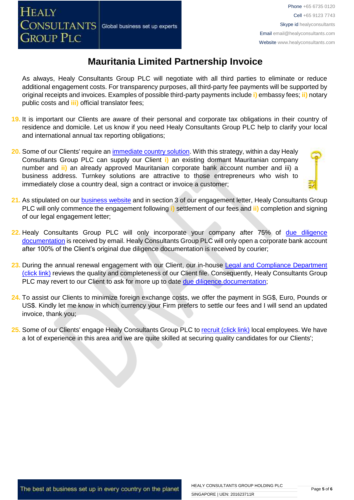As always, Healy Consultants Group PLC will negotiate with all third parties to eliminate or reduce additional engagement costs. For transparency purposes, all third-party fee payments will be supported by original receipts and invoices. Examples of possible third-party payments include **i)** embassy fees; **ii)** notary public costs and **iii)** official translator fees;

- **19.** It is important our Clients are aware of their personal and corporate tax obligations in their country of residence and domicile. Let us know if you need Healy Consultants Group PLC help to clarify your local and international annual tax reporting obligations;
- 20. Some of our Clients' require an *immediate country solution*. With this strategy, within a day Healy Consultants Group PLC can supply our Client **i)** an existing dormant Mauritanian company number and **ii)** an already approved Mauritanian corporate bank account number and iii) a business address. Turnkey solutions are attractive to those entrepreneurs who wish to immediately close a country deal, sign a contract or invoice a customer;
- 
- **21.** As stipulated on our [business website](http://www.healyconsultants.com/) and in section 3 of our engagement letter, Healy Consultants Group PLC will only commence the engagement following **i)** settlement of our fees and **ii)** completion and signing of our legal engagement letter;
- **22.** Healy Consultants Group PLC will only incorporate your company after 75% of [due diligence](http://www.healyconsultants.com/due-diligence/)  [documentation](http://www.healyconsultants.com/due-diligence/) is received by email. Healy Consultants Group PLC will only open a corporate bank account after 100% of the Client's original due diligence documentation is received by courier;
- 23. During the annual renewal engagement with our Client, our in-house Legal and Compliance Department [\(click link\)](http://www.healyconsultants.com/about-us/key-personnel/cai-xin-profile/) reviews the quality and completeness of our Client file. Consequently, Healy Consultants Group PLC may revert to our Client to ask for more up to date [due diligence documentation;](http://www.healyconsultants.com/due-diligence/)
- **24.** To assist our Clients to minimize foreign exchange costs, we offer the payment in SG\$, Euro, Pounds or US\$. Kindly let me know in which currency your Firm prefers to settle our fees and I will send an updated invoice, thank you;
- **25.** Some of our Clients' engage Healy Consultants Group PLC t[o recruit \(click link\)](http://www.healyconsultants.com/corporate-outsourcing-services/how-we-help-our-clients-recruit-quality-employees/) local employees. We have a lot of experience in this area and we are quite skilled at securing quality candidates for our Clients';